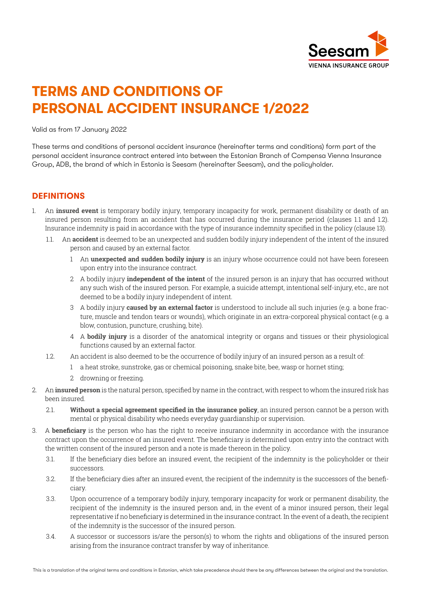

# **TERMS AND CONDITIONS OF PERSONAL ACCIDENT INSURANCE 1/2022**

Valid as from 17 January 2022

These terms and conditions of personal accident insurance (hereinafter terms and conditions) form part of the personal accident insurance contract entered into between the Estonian Branch of Compensa Vienna Insurance Group, ADB, the brand of which in Estonia is Seesam (hereinafter Seesam), and the policyholder.

## **DEFINITIONS**

- 1. An **insured event** is temporary bodily injury, temporary incapacity for work, permanent disability or death of an insured person resulting from an accident that has occurred during the insurance period (clauses 1.1 and 1.2). Insurance indemnity is paid in accordance with the type of insurance indemnity specified in the policy (clause 13).
	- 1.1. An **accident** is deemed to be an unexpected and sudden bodily injury independent of the intent of the insured person and caused by an external factor.
		- 1 An **unexpected and sudden bodily injury** is an injury whose occurrence could not have been foreseen upon entry into the insurance contract.
		- 2 A bodily injury **independent of the intent** of the insured person is an injury that has occurred without any such wish of the insured person. For example, a suicide attempt, intentional self-injury, etc., are not deemed to be a bodily injury independent of intent.
		- 3 A bodily injury **caused by an external factor** is understood to include all such injuries (e.g. a bone fracture, muscle and tendon tears or wounds), which originate in an extra-corporeal physical contact (e.g. a blow, contusion, puncture, crushing, bite).
		- 4 A **bodily injury** is a disorder of the anatomical integrity or organs and tissues or their physiological functions caused by an external factor.
	- 1.2. An accident is also deemed to be the occurrence of bodily injury of an insured person as a result of:
		- 1 a heat stroke, sunstroke, gas or chemical poisoning, snake bite, bee, wasp or hornet sting;
		- 2 drowning or freezing.
- 2. An **insured person** is the natural person, specified by name in the contract, with respect to whom the insured risk has been insured.
	- 2.1. **Without a special agreement specified in the insurance policy**, an insured person cannot be a person with mental or physical disability who needs everyday guardianship or supervision.
- 3. A **beneficiary** is the person who has the right to receive insurance indemnity in accordance with the insurance contract upon the occurrence of an insured event. The beneficiary is determined upon entry into the contract with the written consent of the insured person and a note is made thereon in the policy.
	- 3.1. If the beneficiary dies before an insured event, the recipient of the indemnity is the policyholder or their successors.
	- 3.2. If the beneficiary dies after an insured event, the recipient of the indemnity is the successors of the beneficiary.
	- 3.3. Upon occurrence of a temporary bodily injury, temporary incapacity for work or permanent disability, the recipient of the indemnity is the insured person and, in the event of a minor insured person, their legal representative if no beneficiary is determined in the insurance contract. In the event of a death, the recipient of the indemnity is the successor of the insured person.
	- 3.4. A successor or successors is/are the person(s) to whom the rights and obligations of the insured person arising from the insurance contract transfer by way of inheritance.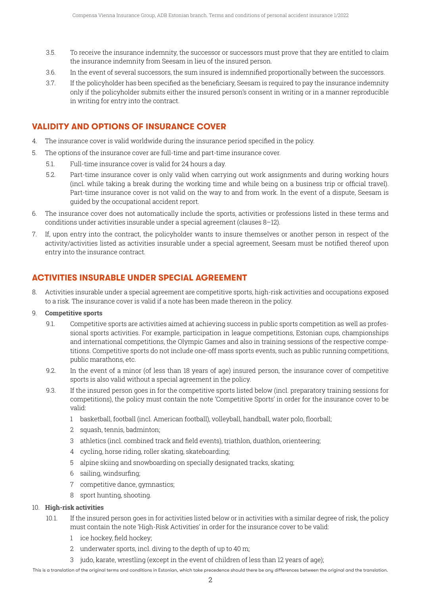- 3.5. To receive the insurance indemnity, the successor or successors must prove that they are entitled to claim the insurance indemnity from Seesam in lieu of the insured person.
- 3.6. In the event of several successors, the sum insured is indemnified proportionally between the successors.
- 3.7. If the policyholder has been specified as the beneficiary, Seesam is required to pay the insurance indemnity only if the policyholder submits either the insured person's consent in writing or in a manner reproducible in writing for entry into the contract.

# **VALIDITY AND OPTIONS OF INSURANCE COVER**

- 4. The insurance cover is valid worldwide during the insurance period specified in the policy.
- 5. The options of the insurance cover are full-time and part-time insurance cover.
	- 5.1. Full-time insurance cover is valid for 24 hours a day.
	- 5.2. Part-time insurance cover is only valid when carrying out work assignments and during working hours (incl. while taking a break during the working time and while being on a business trip or official travel). Part-time insurance cover is not valid on the way to and from work. In the event of a dispute, Seesam is guided by the occupational accident report.
- 6. The insurance cover does not automatically include the sports, activities or professions listed in these terms and conditions under activities insurable under a special agreement (clauses 8–12).
- 7. If, upon entry into the contract, the policyholder wants to insure themselves or another person in respect of the activity/activities listed as activities insurable under a special agreement, Seesam must be notified thereof upon entry into the insurance contract.

# **ACTIVITIES INSURABLE UNDER SPECIAL AGREEMENT**

8. Activities insurable under a special agreement are competitive sports, high-risk activities and occupations exposed to a risk. The insurance cover is valid if a note has been made thereon in the policy.

#### 9. **Competitive sports**

- 9.1. Competitive sports are activities aimed at achieving success in public sports competition as well as professional sports activities. For example, participation in league competitions, Estonian cups, championships and international competitions, the Olympic Games and also in training sessions of the respective competitions. Competitive sports do not include one-off mass sports events, such as public running competitions, public marathons, etc.
- 9.2. In the event of a minor (of less than 18 years of age) insured person, the insurance cover of competitive sports is also valid without a special agreement in the policy.
- 9.3. If the insured person goes in for the competitive sports listed below (incl. preparatory training sessions for competitions), the policy must contain the note 'Competitive Sports' in order for the insurance cover to be valid:
	- 1 basketball, football (incl. American football), volleyball, handball, water polo, floorball;
	- 2 squash, tennis, badminton;
	- 3 athletics (incl. combined track and field events), triathlon, duathlon, orienteering;
	- 4 cycling, horse riding, roller skating, skateboarding;
	- 5 alpine skiing and snowboarding on specially designated tracks, skating;
	- 6 sailing, windsurfing;
	- 7 competitive dance, gymnastics;
	- 8 sport hunting, shooting.

#### 10. **High-risk activities**

- 10.1. If the insured person goes in for activities listed below or in activities with a similar degree of risk, the policy must contain the note 'High-Risk Activities' in order for the insurance cover to be valid:
	- 1 ice hockey, field hockey;
	- 2 underwater sports, incl. diving to the depth of up to 40 m;
	- 3 judo, karate, wrestling (except in the event of children of less than 12 years of age);

This is a translation of the original terms and conditions in Estonian, which take precedence should there be any differences between the original and the translation.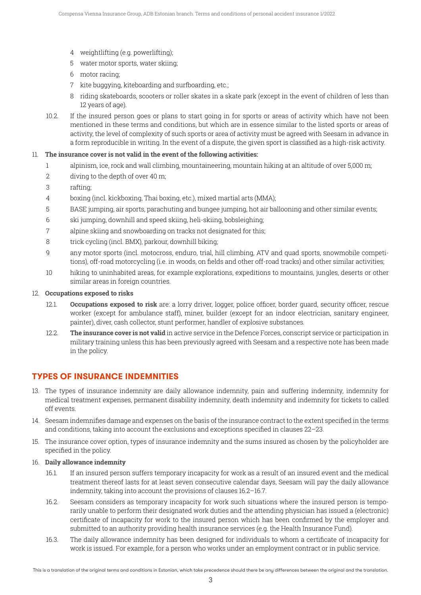- 4 weightlifting (e.g. powerlifting);
- 5 water motor sports, water skiing;
- 6 motor racing;
- 7 kite buggying, kiteboarding and surfboarding, etc.;
- 8 riding skateboards, scooters or roller skates in a skate park (except in the event of children of less than 12 years of age).
- 10.2. If the insured person goes or plans to start going in for sports or areas of activity which have not been mentioned in these terms and conditions, but which are in essence similar to the listed sports or areas of activity, the level of complexity of such sports or area of activity must be agreed with Seesam in advance in a form reproducible in writing. In the event of a dispute, the given sport is classified as a high-risk activity.

## 11. **The insurance cover is not valid in the event of the following activities:**

- 1 alpinism, ice, rock and wall climbing, mountaineering, mountain hiking at an altitude of over 5,000 m;
- 2 diving to the depth of over 40 m;
- 3 rafting;
- 4 boxing (incl. kickboxing, Thai boxing, etc.), mixed martial arts (MMA);
- 5 BASE jumping, air sports, parachuting and bungee jumping, hot air ballooning and other similar events;
- 6 ski jumping, downhill and speed skiing, heli-skiing, bobsleighing;
- 7 alpine skiing and snowboarding on tracks not designated for this;
- 8 trick cycling (incl. BMX), parkour, downhill biking;
- 9 any motor sports (incl. motocross, enduro, trial, hill climbing, ATV and quad sports, snowmobile competitions), off-road motorcycling (i.e. in woods, on fields and other off-road tracks) and other similar activities;
- 10 hiking to uninhabited areas, for example explorations, expeditions to mountains, jungles, deserts or other similar areas in foreign countries.

#### 12. **Occupations exposed to risks**

- 12.1. **Occupations exposed to risk** are: a lorry driver, logger, police officer, border guard, security officer, rescue worker (except for ambulance staff), miner, builder (except for an indoor electrician, sanitary engineer, painter), diver, cash collector, stunt performer, handler of explosive substances.
- 12.2. **The insurance cover is not valid** in active service in the Defence Forces, conscript service or participation in military training unless this has been previously agreed with Seesam and a respective note has been made in the policy.

# **TYPES OF INSURANCE INDEMNITIES**

- 13. The types of insurance indemnity are daily allowance indemnity, pain and suffering indemnity, indemnity for medical treatment expenses, permanent disability indemnity, death indemnity and indemnity for tickets to called off events.
- 14. Seesam indemnifies damage and expenses on the basis of the insurance contract to the extent specified in the terms and conditions, taking into account the exclusions and exceptions specified in clauses 22–23.
- 15. The insurance cover option, types of insurance indemnity and the sums insured as chosen by the policyholder are specified in the policy.

#### 16. **Daily allowance indemnity**

- 16.1. If an insured person suffers temporary incapacity for work as a result of an insured event and the medical treatment thereof lasts for at least seven consecutive calendar days, Seesam will pay the daily allowance indemnity, taking into account the provisions of clauses 16.2–16.7.
- 16.2. Seesam considers as temporary incapacity for work such situations where the insured person is temporarily unable to perform their designated work duties and the attending physician has issued a (electronic) certificate of incapacity for work to the insured person which has been confirmed by the employer and submitted to an authority providing health insurance services (e.g. the Health Insurance Fund).
- 16.3. The daily allowance indemnity has been designed for individuals to whom a certificate of incapacity for work is issued. For example, for a person who works under an employment contract or in public service.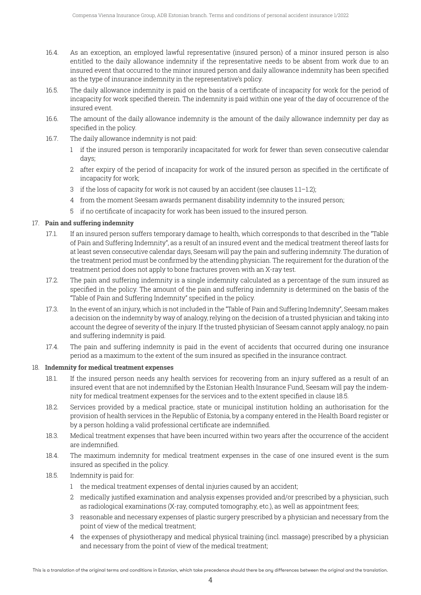- 16.4. As an exception, an employed lawful representative (insured person) of a minor insured person is also entitled to the daily allowance indemnity if the representative needs to be absent from work due to an insured event that occurred to the minor insured person and daily allowance indemnity has been specified as the type of insurance indemnity in the representative's policy.
- 16.5. The daily allowance indemnity is paid on the basis of a certificate of incapacity for work for the period of incapacity for work specified therein. The indemnity is paid within one year of the day of occurrence of the insured event.
- 16.6. The amount of the daily allowance indemnity is the amount of the daily allowance indemnity per day as specified in the policy.
- 16.7. The daily allowance indemnity is not paid:
	- 1 if the insured person is temporarily incapacitated for work for fewer than seven consecutive calendar days;
	- 2 after expiry of the period of incapacity for work of the insured person as specified in the certificate of incapacity for work;
	- 3 if the loss of capacity for work is not caused by an accident (see clauses 1.1–1.2);
	- 4 from the moment Seesam awards permanent disability indemnity to the insured person;
	- 5 if no certificate of incapacity for work has been issued to the insured person.

#### 17. **Pain and suffering indemnity**

- 17.1. If an insured person suffers temporary damage to health, which corresponds to that described in the "Table of Pain and Suffering Indemnity", as a result of an insured event and the medical treatment thereof lasts for at least seven consecutive calendar days, Seesam will pay the pain and suffering indemnity. The duration of the treatment period must be confirmed by the attending physician. The requirement for the duration of the treatment period does not apply to bone fractures proven with an X-ray test.
- 17.2. The pain and suffering indemnity is a single indemnity calculated as a percentage of the sum insured as specified in the policy. The amount of the pain and suffering indemnity is determined on the basis of the "Table of Pain and Suffering Indemnity" specified in the policy.
- 17.3. In the event of an injury, which is not included in the "Table of Pain and Suffering Indemnity", Seesam makes a decision on the indemnity by way of analogy, relying on the decision of a trusted physician and taking into account the degree of severity of the injury. If the trusted physician of Seesam cannot apply analogy, no pain and suffering indemnity is paid.
- 17.4. The pain and suffering indemnity is paid in the event of accidents that occurred during one insurance period as a maximum to the extent of the sum insured as specified in the insurance contract.

#### 18. **Indemnity for medical treatment expenses**

- 18.1. If the insured person needs any health services for recovering from an injury suffered as a result of an insured event that are not indemnified by the Estonian Health Insurance Fund, Seesam will pay the indemnity for medical treatment expenses for the services and to the extent specified in clause 18.5.
- 18.2. Services provided by a medical practice, state or municipal institution holding an authorisation for the provision of health services in the Republic of Estonia, by a company entered in the Health Board register or by a person holding a valid professional certificate are indemnified.
- 18.3. Medical treatment expenses that have been incurred within two years after the occurrence of the accident are indemnified.
- 18.4. The maximum indemnity for medical treatment expenses in the case of one insured event is the sum insured as specified in the policy.
- 18.5. Indemnity is paid for:
	- 1 the medical treatment expenses of dental injuries caused by an accident;
	- 2 medically justified examination and analysis expenses provided and/or prescribed by a physician, such as radiological examinations (X-ray, computed tomography, etc.), as well as appointment fees;
	- 3 reasonable and necessary expenses of plastic surgery prescribed by a physician and necessary from the point of view of the medical treatment;
	- 4 the expenses of physiotherapy and medical physical training (incl. massage) prescribed by a physician and necessary from the point of view of the medical treatment;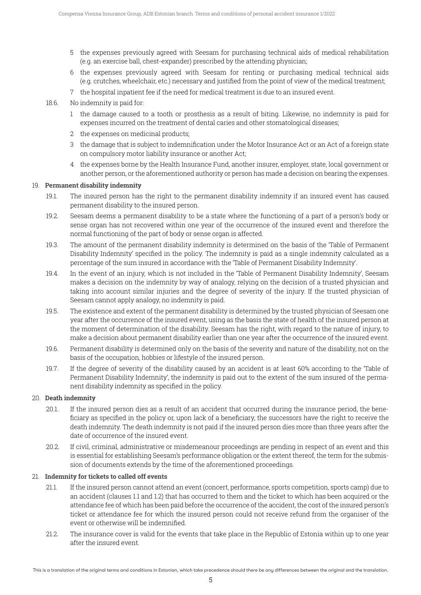- 5 the expenses previously agreed with Seesam for purchasing technical aids of medical rehabilitation (e.g. an exercise ball, chest-expander) prescribed by the attending physician;
- 6 the expenses previously agreed with Seesam for renting or purchasing medical technical aids (e.g. crutches, wheelchair, etc.) necessary and justified from the point of view of the medical treatment;
- 7 the hospital inpatient fee if the need for medical treatment is due to an insured event.
- 18.6. No indemnity is paid for:
	- 1 the damage caused to a tooth or prosthesis as a result of biting. Likewise, no indemnity is paid for expenses incurred on the treatment of dental caries and other stomatological diseases;
	- 2 the expenses on medicinal products;
	- 3 the damage that is subject to indemnification under the Motor Insurance Act or an Act of a foreign state on compulsory motor liability insurance or another Act;
	- 4 the expenses borne by the Health Insurance Fund, another insurer, employer, state, local government or another person, or the aforementioned authority or person has made a decision on bearing the expenses.

#### 19. **Permanent disability indemnity**

- 19.1. The insured person has the right to the permanent disability indemnity if an insured event has caused permanent disability to the insured person.
- 19.2. Seesam deems a permanent disability to be a state where the functioning of a part of a person's body or sense organ has not recovered within one year of the occurrence of the insured event and therefore the normal functioning of the part of body or sense organ is affected.
- 19.3. The amount of the permanent disability indemnity is determined on the basis of the 'Table of Permanent Disability Indemnity' specified in the policy. The indemnity is paid as a single indemnity calculated as a percentage of the sum insured in accordance with the 'Table of Permanent Disability Indemnity'.
- 19.4. In the event of an injury, which is not included in the 'Table of Permanent Disability Indemnity', Seesam makes a decision on the indemnity by way of analogy, relying on the decision of a trusted physician and taking into account similar injuries and the degree of severity of the injury. If the trusted physician of Seesam cannot apply analogy, no indemnity is paid.
- 19.5. The existence and extent of the permanent disability is determined by the trusted physician of Seesam one year after the occurrence of the insured event, using as the basis the state of health of the insured person at the moment of determination of the disability. Seesam has the right, with regard to the nature of injury, to make a decision about permanent disability earlier than one year after the occurrence of the insured event.
- 19.6. Permanent disability is determined only on the basis of the severity and nature of the disability, not on the basis of the occupation, hobbies or lifestyle of the insured person.
- 19.7. If the degree of severity of the disability caused by an accident is at least 60% according to the 'Table of Permanent Disability Indemnity', the indemnity is paid out to the extent of the sum insured of the permanent disability indemnity as specified in the policy.

#### 20. **Death indemnity**

- 20.1. If the insured person dies as a result of an accident that occurred during the insurance period, the beneficiary as specified in the policy or, upon lack of a beneficiary, the successors have the right to receive the death indemnity. The death indemnity is not paid if the insured person dies more than three years after the date of occurrence of the insured event.
- 20.2. If civil, criminal, administrative or misdemeanour proceedings are pending in respect of an event and this is essential for establishing Seesam's performance obligation or the extent thereof, the term for the submission of documents extends by the time of the aforementioned proceedings.

#### 21. **Indemnity for tickets to called off events**

- 21.1. If the insured person cannot attend an event (concert, performance, sports competition, sports camp) due to an accident (clauses 1.1 and 1.2) that has occurred to them and the ticket to which has been acquired or the attendance fee of which has been paid before the occurrence of the accident, the cost of the insured person's ticket or attendance fee for which the insured person could not receive refund from the organiser of the event or otherwise will be indemnified.
- 21.2. The insurance cover is valid for the events that take place in the Republic of Estonia within up to one year after the insured event.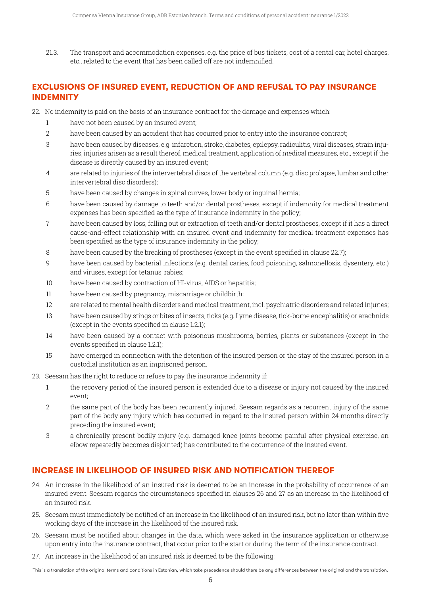21.3. The transport and accommodation expenses, e.g. the price of bus tickets, cost of a rental car, hotel charges, etc., related to the event that has been called off are not indemnified.

## **EXCLUSIONS OF INSURED EVENT, REDUCTION OF AND REFUSAL TO PAY INSURANCE INDEMNITY**

- 22. No indemnity is paid on the basis of an insurance contract for the damage and expenses which:
	- 1 have not been caused by an insured event;
	- 2 have been caused by an accident that has occurred prior to entry into the insurance contract;
	- 3 have been caused by diseases, e.g. infarction, stroke, diabetes, epilepsy, radiculitis, viral diseases, strain injuries, injuries arisen as a result thereof, medical treatment, application of medical measures, etc., except if the disease is directly caused by an insured event;
	- 4 are related to injuries of the intervertebral discs of the vertebral column (e.g. disc prolapse, lumbar and other intervertebral disc disorders);
	- 5 have been caused by changes in spinal curves, lower body or inguinal hernia;
	- 6 have been caused by damage to teeth and/or dental prostheses, except if indemnity for medical treatment expenses has been specified as the type of insurance indemnity in the policy;
	- 7 have been caused by loss, falling out or extraction of teeth and/or dental prostheses, except if it has a direct cause-and-effect relationship with an insured event and indemnity for medical treatment expenses has been specified as the type of insurance indemnity in the policy;
	- 8 have been caused by the breaking of prostheses (except in the event specified in clause 22.7);
	- 9 have been caused by bacterial infections (e.g. dental caries, food poisoning, salmonellosis, dysentery, etc.) and viruses, except for tetanus, rabies;
	- 10 have been caused by contraction of HI-virus, AIDS or hepatitis;
	- 11 have been caused by pregnancy, miscarriage or childbirth;
	- 12 are related to mental health disorders and medical treatment, incl. psychiatric disorders and related injuries;
	- 13 have been caused by stings or bites of insects, ticks (e.g. Lyme disease, tick-borne encephalitis) or arachnids (except in the events specified in clause 1.2.1);
	- 14 have been caused by a contact with poisonous mushrooms, berries, plants or substances (except in the events specified in clause 1.2.1);
	- 15 have emerged in connection with the detention of the insured person or the stay of the insured person in a custodial institution as an imprisoned person.
- 23. Seesam has the right to reduce or refuse to pay the insurance indemnity if:
	- 1 the recovery period of the insured person is extended due to a disease or injury not caused by the insured event;
	- 2 the same part of the body has been recurrently injured. Seesam regards as a recurrent injury of the same part of the body any injury which has occurred in regard to the insured person within 24 months directly preceding the insured event;
	- 3 a chronically present bodily injury (e.g. damaged knee joints become painful after physical exercise, an elbow repeatedly becomes disjointed) has contributed to the occurrence of the insured event.

# **INCREASE IN LIKELIHOOD OF INSURED RISK AND NOTIFICATION THEREOF**

- 24. An increase in the likelihood of an insured risk is deemed to be an increase in the probability of occurrence of an insured event. Seesam regards the circumstances specified in clauses 26 and 27 as an increase in the likelihood of an insured risk.
- 25. Seesam must immediately be notified of an increase in the likelihood of an insured risk, but no later than within five working days of the increase in the likelihood of the insured risk.
- 26. Seesam must be notified about changes in the data, which were asked in the insurance application or otherwise upon entry into the insurance contract, that occur prior to the start or during the term of the insurance contract.
- 27. An increase in the likelihood of an insured risk is deemed to be the following: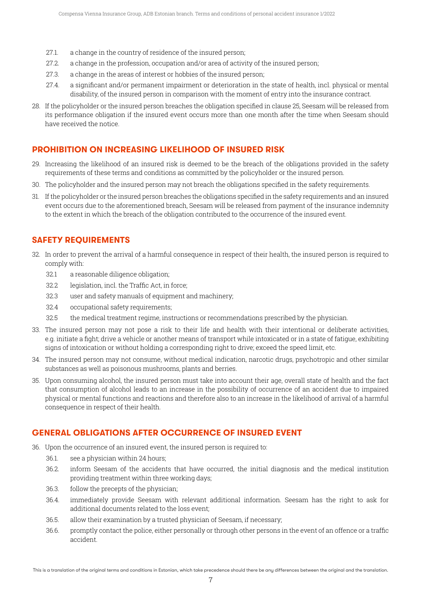- 27.1. a change in the country of residence of the insured person;
- 27.2. a change in the profession, occupation and/or area of activity of the insured person;
- 27.3. a change in the areas of interest or hobbies of the insured person;
- 27.4. a significant and/or permanent impairment or deterioration in the state of health, incl. physical or mental disability, of the insured person in comparison with the moment of entry into the insurance contract.
- 28. If the policyholder or the insured person breaches the obligation specified in clause 25, Seesam will be released from its performance obligation if the insured event occurs more than one month after the time when Seesam should have received the notice.

## **PROHIBITION ON INCREASING LIKELIHOOD OF INSURED RISK**

- 29. Increasing the likelihood of an insured risk is deemed to be the breach of the obligations provided in the safety requirements of these terms and conditions as committed by the policyholder or the insured person.
- 30. The policyholder and the insured person may not breach the obligations specified in the safety requirements.
- 31. If the policyholder or the insured person breaches the obligations specified in the safety requirements and an insured event occurs due to the aforementioned breach, Seesam will be released from payment of the insurance indemnity to the extent in which the breach of the obligation contributed to the occurrence of the insured event.

## **SAFETY REQUIREMENTS**

- 32. In order to prevent the arrival of a harmful consequence in respect of their health, the insured person is required to comply with:
	- 32.1 a reasonable diligence obligation;
	- 32.2 legislation, incl. the Traffic Act, in force;
	- 32.3 user and safety manuals of equipment and machinery;
	- 32.4 occupational safety requirements;
	- 32.5 the medical treatment regime, instructions or recommendations prescribed by the physician.
- 33. The insured person may not pose a risk to their life and health with their intentional or deliberate activities, e.g. initiate a fight; drive a vehicle or another means of transport while intoxicated or in a state of fatigue, exhibiting signs of intoxication or without holding a corresponding right to drive; exceed the speed limit, etc.
- 34. The insured person may not consume, without medical indication, narcotic drugs, psychotropic and other similar substances as well as poisonous mushrooms, plants and berries.
- 35. Upon consuming alcohol, the insured person must take into account their age, overall state of health and the fact that consumption of alcohol leads to an increase in the possibility of occurrence of an accident due to impaired physical or mental functions and reactions and therefore also to an increase in the likelihood of arrival of a harmful consequence in respect of their health.

## **GENERAL OBLIGATIONS AFTER OCCURRENCE OF INSURED EVENT**

- 36. Upon the occurrence of an insured event, the insured person is required to:
	- 36.1. see a physician within 24 hours;
	- 36.2. inform Seesam of the accidents that have occurred, the initial diagnosis and the medical institution providing treatment within three working days;
	- 36.3. follow the precepts of the physician;
	- 36.4. immediately provide Seesam with relevant additional information. Seesam has the right to ask for additional documents related to the loss event;
	- 36.5. allow their examination by a trusted physician of Seesam, if necessary;
	- 36.6. promptly contact the police, either personally or through other persons in the event of an offence or a traffic accident.